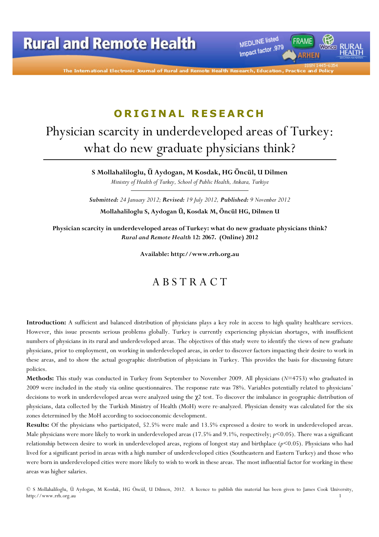MEDLINE listed Impact factor .979

The International Electronic Journal of Rural and Remot

# ORIGINAL RESEARCH

# Physician scarcity in underdeveloped areas of Turkey: what do new graduate physicians think?

S Mollahaliloglu, Ü Aydogan, M Kosdak, HG Öncül, U Dilmen Ministry of Health of Turkey, School of Public Health, Ankara, Turkiye

Submitted: 24 January 2012; Revised: 19 July 2012, Published: 9 November 2012 Mollahaliloglu S, Aydogan Ü, Kosdak M, Öncül HG, Dilmen U

Physician scarcity in underdeveloped areas of Turkey: what do new graduate physicians think? Rural and Remote Health 12: 2067. (Online) 2012

Available: http://www.rrh.org.au

# A B S T R A C T

Introduction: A sufficient and balanced distribution of physicians plays a key role in access to high quality healthcare services. However, this issue presents serious problems globally. Turkey is currently experiencing physician shortages, with insufficient numbers of physicians in its rural and underdeveloped areas. The objectives of this study were to identify the views of new graduate physicians, prior to employment, on working in underdeveloped areas, in order to discover factors impacting their desire to work in these areas, and to show the actual geographic distribution of physicians in Turkey. This provides the basis for discussing future policies.

Methods: This study was conducted in Turkey from September to November 2009. All physicians (N=4753) who graduated in 2009 were included in the study via online questionnaires. The response rate was 78%. Variables potentially related to physicians' decisions to work in underdeveloped areas were analyzed using the χ2 test. To discover the imbalance in geographic distribution of physicians, data collected by the Turkish Ministry of Health (MoH) were re-analyzed. Physician density was calculated for the six zones determined by the MoH according to socioeconomic development.

Results: Of the physicians who participated, 52.5% were male and 13.5% expressed a desire to work in underdeveloped areas. Male physicians were more likely to work in underdeveloped areas (17.5% and 9.1%, respectively;  $p$ <0.05). There was a significant relationship between desire to work in underdeveloped areas, regions of longest stay and birthplace  $(p<0.05)$ . Physicians who had lived for a significant period in areas with a high number of underdeveloped cities (Southeastern and Eastern Turkey) and those who were born in underdeveloped cities were more likely to wish to work in these areas. The most influential factor for working in these areas was higher salaries.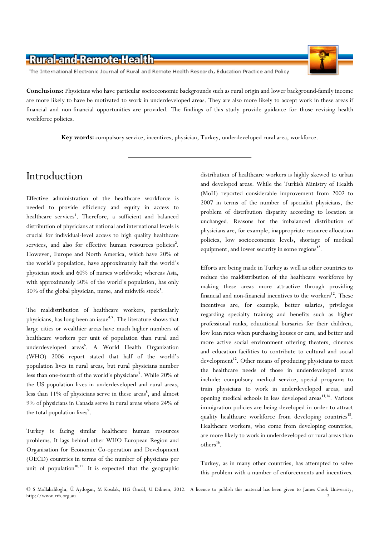

The International Electronic Journal of Rural and Remote Health Research, Education Practice and Policy

Conclusions: Physicians who have particular socioeconomic backgrounds such as rural origin and lower background-family income are more likely to have be motivated to work in underdeveloped areas. They are also more likely to accept work in these areas if financial and non-financial opportunities are provided. The findings of this study provide guidance for those revising health workforce policies.

Key words: compulsory service, incentives, physician, Turkey, underdeveloped rural area, workforce.

# Introduction

Effective administration of the healthcare workforce is needed to provide efficiency and equity in access to healthcare services<sup>1</sup>. Therefore, a sufficient and balanced distribution of physicians at national and international levels is crucial for individual-level access to high quality healthcare services, and also for effective human resources policies<sup>2</sup>. However, Europe and North America, which have 20% of the world's population, have approximately half the world's physician stock and 60% of nurses worldwide; whereas Asia, with approximately 50% of the world's population, has only 30% of the global physician, nurse, and midwife stock<sup>3</sup>.

The maldistribution of healthcare workers, particularly physicians, has long been an issue<sup>4,5</sup>. The literature shows that large cities or wealthier areas have much higher numbers of healthcare workers per unit of population than rural and underdeveloped areas<sup>6</sup>. A World Health Organization (WHO) 2006 report stated that half of the world's population lives in rural areas, but rural physicians number less than one-fourth of the world's physicians<sup>7</sup>. While 20% of the US population lives in underdeveloped and rural areas, less than 11% of physicians serve in these areas<sup>8</sup>, and almost 9% of physicians in Canada serve in rural areas where 24% of the total population lives<sup>9</sup>.

Turkey is facing similar healthcare human resources problems. It lags behind other WHO European Region and Organisation for Economic Co-operation and Development (OECD) countries in terms of the number of physicians per unit of population<sup>10,11</sup>. It is expected that the geographic distribution of healthcare workers is highly skewed to urban and developed areas. While the Turkish Ministry of Health (MoH) reported considerable improvement from 2002 to 2007 in terms of the number of specialist physicians, the problem of distribution disparity according to location is unchanged. Reasons for the imbalanced distribution of physicians are, for example, inappropriate resource allocation policies, low socioeconomic levels, shortage of medical equipment, and lower security in some regions<sup>12</sup>.

Efforts are being made in Turkey as well as other countries to reduce the maldistribution of the healthcare workforce by making these areas more attractive through providing financial and non-financial incentives to the workers<sup>12</sup>. These incentives are, for example, better salaries, privileges regarding specialty training and benefits such as higher professional ranks, educational bursaries for their children, low loan rates when purchasing houses or cars, and better and more active social environment offering theaters, cinemas and education facilities to contribute to cultural and social development<sup>12</sup>. Other means of producing physicians to meet the healthcare needs of those in underdeveloped areas include: compulsory medical service, special programs to train physicians to work in underdeveloped areas, and opening medical schools in less developed areas<sup>13,14</sup>. Various immigration policies are being developed in order to attract quality healthcare workforce from developing countries<sup>15</sup>. Healthcare workers, who come from developing countries, are more likely to work in underdeveloped or rural areas than others<sup>16</sup>.

Turkey, as in many other countries, has attempted to solve this problem with a number of enforcements and incentives.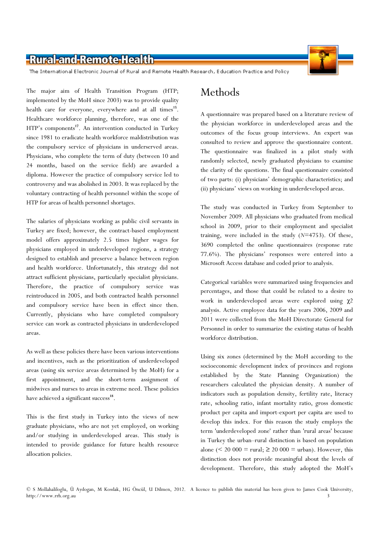

The International Electronic Journal of Rural and Remote Health Research, Education Practice and Policy

The major aim of Health Transition Program (HTP; implemented by the MoH since 2003) was to provide quality health care for everyone, everywhere and at all times<sup>15</sup>. Healthcare workforce planning, therefore, was one of the HTP's components<sup>17</sup>. An intervention conducted in Turkey since 1981 to eradicate health workforce maldistribution was the compulsory service of physicians in underserved areas. Physicians, who complete the term of duty (between 10 and 24 months, based on the service field) are awarded a diploma. However the practice of compulsory service led to controversy and was abolished in 2003. It was replaced by the voluntary contracting of health personnel within the scope of HTP for areas of health personnel shortages.

The salaries of physicians working as public civil servants in Turkey are fixed; however, the contract-based employment model offers approximately 2.5 times higher wages for physicians employed in underdeveloped regions, a strategy designed to establish and preserve a balance between region and health workforce. Unfortunately, this strategy did not attract sufficient physicians, particularly specialist physicians. Therefore, the practice of compulsory service was reintroduced in 2005, and both contracted health personnel and compulsory service have been in effect since then. Currently, physicians who have completed compulsory service can work as contracted physicians in underdeveloped areas.

As well as these policies there have been various interventions and incentives, such as the prioritization of underdeveloped areas (using six service areas determined by the MoH) for a first appointment, and the short-term assignment of midwives and nurses to areas in extreme need. These policies have achieved a significant success<sup>18</sup>.

This is the first study in Turkey into the views of new graduate physicians, who are not yet employed, on working and/or studying in underdeveloped areas. This study is intended to provide guidance for future health resource allocation policies.

# Methods

A questionnaire was prepared based on a literature review of the physician workforce in underdeveloped areas and the outcomes of the focus group interviews. An expert was consulted to review and approve the questionnaire content. The questionnaire was finalized in a pilot study with randomly selected, newly graduated physicians to examine the clarity of the questions. The final questionnaire consisted of two parts: (i) physicians' demographic characteristics; and (ii) physicians' views on working in underdeveloped areas.

The study was conducted in Turkey from September to November 2009. All physicians who graduated from medical school in 2009, prior to their employment and specialist training, were included in the study  $(N=4753)$ . Of these, 3690 completed the online questionnaires (response rate 77.6%). The physicians' responses were entered into a Microsoft Access database and coded prior to analysis.

Categorical variables were summarized using frequencies and percentages, and those that could be related to a desire to work in underdeveloped areas were explored using χ2 analysis. Active employee data for the years 2006, 2009 and 2011 were collected from the MoH Directorate General for Personnel in order to summarize the existing status of health workforce distribution.

Using six zones (determined by the MoH according to the socioeconomic development index of provinces and regions established by the State Planning Organization) the researchers calculated the physician density. A number of indicators such as population density, fertility rate, literacy rate, schooling ratio, infant mortality ratio, gross domestic product per capita and import-export per capita are used to develop this index. For this reason the study employs the term 'underdeveloped zone' rather than 'rural areas' because in Turkey the urban–rural distinction is based on population alone ( $\leq 20000 = \text{rural}; \geq 20000 = \text{urban}$ ). However, this distinction does not provide meaningful about the levels of development. Therefore, this study adopted the MoH's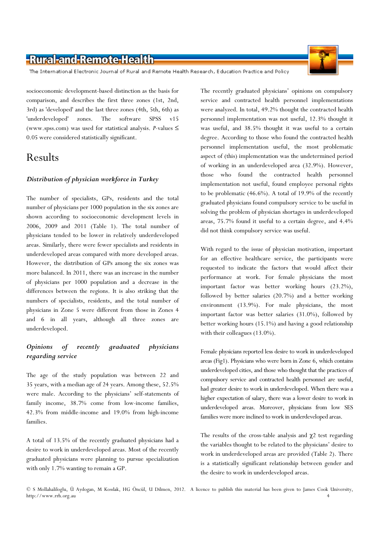The International Electronic Journal of Rural and Remote Health Research, Education Practice and Policy

socioeconomic development-based distinction as the basis for comparison, and describes the first three zones (1st, 2nd, 3rd) as 'developed' and the last three zones (4th, 5th, 6th) as 'underdeveloped' zones. The software SPSS v15 (www.spss.com) was used for statistical analysis. *P*-values  $\leq$ 0.05 were considered statistically significant.

# Results

#### Distribution of physician workforce in Turkey

The number of specialists, GPs, residents and the total number of physicians per 1000 population in the six zones are shown according to socioeconomic development levels in 2006, 2009 and 2011 (Table 1). The total number of physicians tended to be lower in relatively underdeveloped areas. Similarly, there were fewer specialists and residents in underdeveloped areas compared with more developed areas. However, the distribution of GPs among the six zones was more balanced. In 2011, there was an increase in the number of physicians per 1000 population and a decrease in the differences between the regions. It is also striking that the numbers of specialists, residents, and the total number of physicians in Zone 5 were different from those in Zones 4 and 6 in all years, although all three zones are underdeveloped.

#### Opinions of recently graduated physicians regarding service

The age of the study population was between 22 and 35 years, with a median age of 24 years. Among these, 52.5% were male. According to the physicians' self-statements of family income, 38.7% come from low-income families, 42.3% from middle-income and 19.0% from high-income families.

A total of 13.5% of the recently graduated physicians had a desire to work in underdeveloped areas. Most of the recently graduated physicians were planning to pursue specialization with only 1.7% wanting to remain a GP.

The recently graduated physicians' opinions on compulsory service and contracted health personnel implementations were analyzed. In total, 49.2% thought the contracted health personnel implementation was not useful, 12.3% thought it was useful, and 38.5% thought it was useful to a certain degree. According to those who found the contracted health personnel implementation useful, the most problematic aspect of (this) implementation was the undetermined period of working in an underdeveloped area (32.9%). However, those who found the contracted health personnel implementation not useful, found employee personal rights to be problematic (46.6%). A total of 19.9% of the recently graduated physicians found compulsory service to be useful in solving the problem of physician shortages in underdeveloped areas, 75.7% found it useful to a certain degree, and 4.4% did not think compulsory service was useful.

With regard to the issue of physician motivation, important for an effective healthcare service, the participants were requested to indicate the factors that would affect their performance at work. For female physicians the most important factor was better working hours (23.2%), followed by better salaries (20.7%) and a better working environment (13.9%). For male physicians, the most important factor was better salaries (31.0%), followed by better working hours (15.1%) and having a good relationship with their colleagues (13.0%).

Female physicians reported less desire to work in underdeveloped areas (Fig1). Physicians who were born in Zone 6, which contains underdeveloped cities, and those who thought that the practices of compulsory service and contracted health personnel are useful, had greater desire to work in underdeveloped. When there was a higher expectation of salary, there was a lower desire to work in underdeveloped areas. Moreover, physicians from low SES families were more inclined to work in underdeveloped areas.

The results of the cross-table analysis and  $\chi$ <sup>2</sup> test regarding the variables thought to be related to the physicians' desire to work in underdeveloped areas are provided (Table 2). There is a statistically significant relationship between gender and the desire to work in underdeveloped areas.



<sup>©</sup> S Mollahaliloglu, Ü Aydogan, M Kosdak, HG Öncül, U Dilmen, 2012. A licence to publish this material has been given to James Cook University, http://www.rrh.org.au 4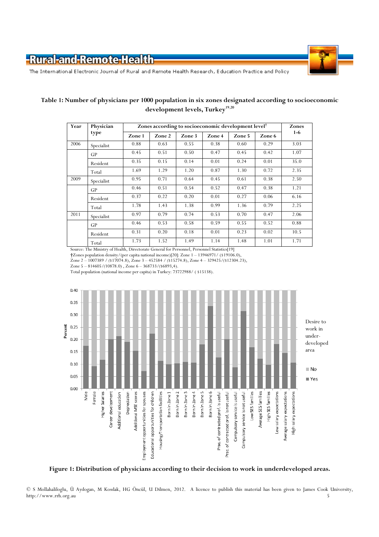

The International Electronic Journal of Rural and Remote Health Research, Education Practice and Policy

#### Table 1: Number of physicians per 1000 population in six zones designated according to socioeconomic development levels, Turkey<sup>19,20</sup>

| Year | Physician  | Zones according to socioeconomic development level <sup>†</sup> | Zones  |        |        |        |        |         |  |
|------|------------|-----------------------------------------------------------------|--------|--------|--------|--------|--------|---------|--|
|      | type       | Zone 1                                                          | Zone 2 | Zone 3 | Zone 4 | Zone 5 | Zone 6 | $1 - 6$ |  |
| 2006 | Specialist | 0.88                                                            | 0.63   | 0.55   | 0.38   | 0.60   | 0.29   | 3.03    |  |
|      | <b>GP</b>  | 0.45                                                            | 0.51   | 0.50   | 0.47   | 0.45   | 0.42   | 1.07    |  |
|      | Resident   | 0.35                                                            | 0.15   | 0.14   | 0.01   | 0.24   | 0.01   | 35.0    |  |
|      | Total      | 1.69                                                            | 1.29   | 1.20   | 0.87   | 1.30   | 0.72   | 2.35    |  |
| 2009 | Specialist | 0.95                                                            | 0.71   | 0.64   | 0.45   | 0.61   | 0.38   | 2.50    |  |
|      | <b>GP</b>  | 0.46                                                            | 0.51   | 0.54   | 0.52   | 0.47   | 0.38   | 1.21    |  |
|      | Resident   | 0.37                                                            | 0.22   | 0.20   | 0.01   | 0.27   | 0.06   | 6.16    |  |
|      | Total      | 1.78                                                            | 1.43   | 1.38   | 0.99   | 1.36   | 0.79   | 2.25    |  |
| 2011 | Specialist | 0.97                                                            | 0.79   | 0.74   | 0.53   | 0.70   | 0.47   | 2.06    |  |
|      | GP         | 0.46                                                            | 0.53   | 0.58   | 0.59   | 0.55   | 0.52   | 0.88    |  |
|      | Resident   | 0.31                                                            | 0.20   | 0.18   | 0.01   | 0.23   | 0.02   | 10.5    |  |
|      | Total      | 1.73                                                            | 1.52   | 1.49   | 1.14   | 1.48   | 1.01   | 1.71    |  |

Source: The Ministry of Health, Directorate General for Personnel, Personnel Statistics[19]

†Zones population density/(per capita national income)[20]: Zone 1 – 13946971/ (\$19106.0),

Zone 2 – 1007389 / (\$17074.8), Zone 3 – 452584 / (\$15274.8), Zone 4 – 329425/(\$12304.23),

Zone  $5 - 814605/(10878.0)$ , Zone  $6 - 368733/(86893,4)$ .

Total population (national income per capita) in Turkey: 73722988/ ( \$15138).



Figure 1: Distribution of physicians according to their decision to work in underdeveloped areas.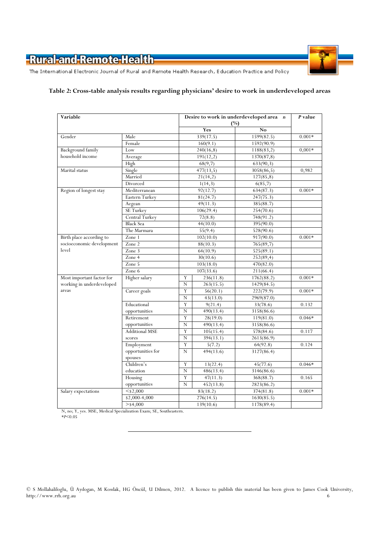



The International Electronic Journal of Rural and Remote Health Research, Education Practice and Policy

#### Table 2: Cross-table analysis results regarding physicians' desire to work in underdeveloped areas

| Variable                  |                       |             | Desire to work in underdeveloped area n<br>$(\%)$ |                |          |  |
|---------------------------|-----------------------|-------------|---------------------------------------------------|----------------|----------|--|
|                           |                       |             | Yes                                               | N <sub>o</sub> |          |  |
| Gender                    | Male                  |             | 339(17.5)                                         | 1599(82.5)     | $0.001*$ |  |
|                           | Female                |             | 160(9.1)                                          | 1592(90.9)     |          |  |
| <b>Background family</b>  | Low                   |             | 240(16,8)                                         | 1188(83,2)     | $0,001*$ |  |
| household income          | Average               |             | 191(12,2)                                         | 1370(87,8)     |          |  |
|                           | High                  |             | 68(9,7)                                           | 633(90,3)      |          |  |
| Marital status            | Single                |             | 477(13,5)                                         | 3058(86,5)     | 0,982    |  |
|                           | Married               |             | 21(14,2)                                          | 127(85,8)      |          |  |
|                           | Divorced              |             | 1(14,3)                                           | 6(85,7)        |          |  |
| Region of longest stay    | Mediterranean         |             | 92(12.7)                                          | 634(87.3)      | $0.001*$ |  |
|                           | Eastern Turkey        | 81(24.7)    |                                                   | 247(75.3)      |          |  |
|                           | Aegean                |             | 49(11.3)                                          | 385(88.7)      |          |  |
|                           | SE Turkey             |             | 106(29.4)                                         | 254(70.6)      |          |  |
|                           | Central Turkey        |             | 72(8.8)                                           | 748(91.2)      |          |  |
|                           | <b>Black Sea</b>      |             | 44(10.0)                                          | 395(90.0)      |          |  |
|                           | The Marmara           |             | 55(9.4)                                           | 528(90.6)      |          |  |
| Birth place according to  | Zone 1                | 102(10.0)   |                                                   | 917(90.0)      | $0.001*$ |  |
| socioeconomic development | Zone 2                | 88(10.3)    |                                                   | 765(89,7)      |          |  |
| level                     | Zone 3                |             | 64(10.9)                                          | 525(89.1)      |          |  |
|                           | Zone 4                |             | 30(10.6)                                          | 252(89,4)      |          |  |
|                           | Zone 5                |             | 103(18.0)                                         | 470(82.0)      |          |  |
|                           | Zone 6                |             | 107(33.6)                                         | 211(66.4)      |          |  |
| Most important factor for | Higher salary         | Y           | 236(11.8)                                         | 1762(88.2)     | $0.001*$ |  |
| working in underdeveloped |                       | N           | 263(15.5)                                         | 1429(84.5)     |          |  |
| areas                     | Career goals          | Y           | 56(20.1)                                          | 222(79.9)      | $0.001*$ |  |
|                           |                       | $\mathbf N$ | 43(13.0)                                          | 2969(87.0)     |          |  |
|                           | Educational           | Y           | 9(21.4)                                           | 33(78.6)       | 0.132    |  |
|                           | opportunities         | $\mathbf N$ | 490(13.4)                                         | 3158(86.6)     |          |  |
|                           | Retirement            | Y           | 28(19.0)                                          | 119(81.0)      | $0.046*$ |  |
|                           | opportunities         | $\mathbf N$ | 490(13.4)                                         | 3158(86.6)     |          |  |
|                           | <b>Additional MSE</b> | Y           | 105(15.4)                                         | 578(84.6)      | 0.117    |  |
|                           | scores                | $\mathbf N$ | 394(13.1)                                         | 2613(86.9)     |          |  |
|                           | Employment            | Y           | 5(7.2)                                            | 64(92.8)       | 0.124    |  |
|                           | opportunities for     | $\mathbf N$ | 494(13.6)                                         | 3127(86.4)     |          |  |
|                           | spouses               |             |                                                   |                |          |  |
|                           | Children's            | Y           | 13(22.4)                                          | 45(77.6)       | $0.046*$ |  |
|                           | education             | $\mathbf N$ | 486(13.4)                                         | 3146(86.6)     |          |  |
|                           | Housing               | Y           | 47(11.3)                                          | 368(88.7)      | 0.165    |  |
|                           | opportunities         | N           | 452(13.8)                                         | 2823(86.2)     |          |  |
| Salary expectations       | $<$ \$2,000           |             | 83(18.2)                                          | 374(81.8)      | $0.001*$ |  |
|                           | $\sqrt{$2,000-4,000}$ | 276(14.5)   |                                                   | 1630(85.5)     |          |  |
|                           | $>$ \$4,000           | 139(10.6)   |                                                   | 1178(89.4)     |          |  |

N, no; Y, yes. MSE, Medical Specialization Exam; SE, Southeastern. \*P<0.05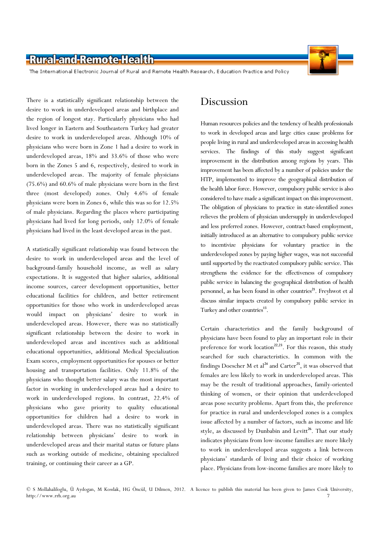

The International Electronic Journal of Rural and Remote Health Research, Education Practice and Policy

There is a statistically significant relationship between the desire to work in underdeveloped areas and birthplace and the region of longest stay. Particularly physicians who had lived longer in Eastern and Southeastern Turkey had greater desire to work in underdeveloped areas. Although 10% of physicians who were born in Zone 1 had a desire to work in underdeveloped areas, 18% and 33.6% of those who were born in the Zones 5 and 6, respectively, desired to work in underdeveloped areas. The majority of female physicians (75.6%) and 60.6% of male physicians were born in the first three (most developed) zones. Only 4.6% of female physicians were born in Zones 6, while this was so for 12.5% of male physicians. Regarding the places where participating physicians had lived for long periods, only 12.0% of female physicians had lived in the least developed areas in the past.

A statistically significant relationship was found between the desire to work in underdeveloped areas and the level of background-family household income, as well as salary expectations. It is suggested that higher salaries, additional income sources, career development opportunities, better educational facilities for children, and better retirement opportunities for those who work in underdeveloped areas would impact on physicians' desire to work in underdeveloped areas. However, there was no statistically significant relationship between the desire to work in underdeveloped areas and incentives such as additional educational opportunities, additional Medical Specialization Exam scores, employment opportunities for spouses or better housing and transportation facilities. Only 11.8% of the physicians who thought better salary was the most important factor in working in underdeveloped areas had a desire to work in underdeveloped regions. In contrast, 22.4% of physicians who gave priority to quality educational opportunities for children had a desire to work in underdeveloped areas. There was no statistically significant relationship between physicians' desire to work in underdeveloped areas and their marital status or future plans such as working outside of medicine, obtaining specialized training, or continuing their career as a GP.

### Discussion

Human resources policies and the tendency of health professionals to work in developed areas and large cities cause problems for people living in rural and underdeveloped areas in accessing health services. The findings of this study suggest significant improvement in the distribution among regions by years. This improvement has been affected by a number of policies under the HTP, implemented to improve the geographical distribution of the health labor force. However, compulsory public service is also considered to have made a significant impact on this improvement. The obligation of physicians to practice in state-identified zones relieves the problem of physician undersupply in underdeveloped and less preferred zones. However, contract-based employment, initially introduced as an alternative to compulsory public service to incentivize physicians for voluntary practice in the underdeveloped zones by paying higher wages, was not successful until supported by the reactivated compulsory public service. This strengthens the evidence for the effectiveness of compulsory public service in balancing the geographical distribution of health personnel, as has been found in other countries<sup>21</sup>. Freyhwot et al discuss similar impacts created by compulsory public service in Turkey and other countries<sup>13</sup>.

Certain characteristics and the family background of physicians have been found to play an important role in their preference for work location<sup>22,23</sup>. For this reason, this study searched for such characteristics. In common with the findings Doescher M et al<sup>24</sup> and Carter<sup>25</sup>, it was observed that females are less likely to work in underdeveloped areas. This may be the result of traditional approaches, family-oriented thinking of women, or their opinion that underdeveloped areas pose security problems. Apart from this, the preference for practice in rural and underdeveloped zones is a complex issue affected by a number of factors, such as income and life style, as discussed by Dunbabin and Levitt<sup>26</sup>. That our study indicates physicians from low-income families are more likely to work in underdeveloped areas suggests a link between physicians' standards of living and their choice of working place. Physicians from low-income families are more likely to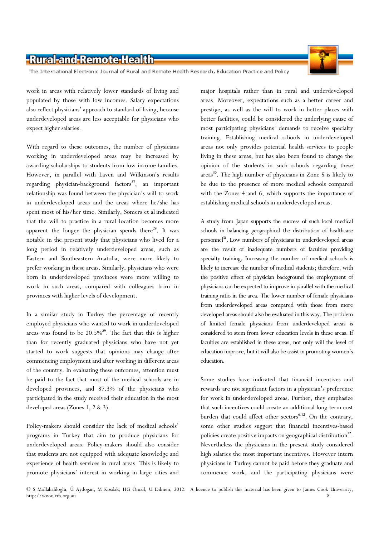The International Electronic Journal of Rural and Remote Health Research, Education Practice and Policy

work in areas with relatively lower standards of living and populated by those with low incomes. Salary expectations also reflect physicians' approach to standard of living, because underdeveloped areas are less acceptable for physicians who expect higher salaries.

With regard to these outcomes, the number of physicians working in underdeveloped areas may be increased by awarding scholarships to students from low-income families. However, in parallel with Laven and Wilkinson's results regarding physician-background factors<sup>27</sup>, an important relationship was found between the physician's will to work in underdeveloped areas and the areas where he/she has spent most of his/her time. Similarly, Somers et al indicated that the will to practice in a rural location becomes more apparent the longer the physician spends there $^{28}$ . It was notable in the present study that physicians who lived for a long period in relatively underdeveloped areas, such as Eastern and Southeastern Anatolia, were more likely to prefer working in these areas. Similarly, physicians who were born in underdeveloped provinces were more willing to work in such areas, compared with colleagues born in provinces with higher levels of development.

In a similar study in Turkey the percentage of recently employed physicians who wanted to work in underdeveloped areas was found to be  $20.5\%^{29}$ . The fact that this is higher than for recently graduated physicians who have not yet started to work suggests that opinions may change after commencing employment and after working in different areas of the country. In evaluating these outcomes, attention must be paid to the fact that most of the medical schools are in developed provinces, and 87.3% of the physicians who participated in the study received their education in the most developed areas (Zones 1, 2 & 3).

Policy-makers should consider the lack of medical schools' programs in Turkey that aim to produce physicians for underdeveloped areas. Policy-makers should also consider that students are not equipped with adequate knowledge and experience of health services in rural areas. This is likely to promote physicians' interest in working in large cities and

major hospitals rather than in rural and underdeveloped areas. Moreover, expectations such as a better career and prestige, as well as the will to work in better places with better facilities, could be considered the underlying cause of most participating physicians' demands to receive specialty training. Establishing medical schools in underdeveloped areas not only provides potential health services to people living in these areas, but has also been found to change the opinion of the students in such schools regarding these areas <sup>30</sup>. The high number of physicians in Zone 5 is likely to be due to the presence of more medical schools compared with the Zones 4 and 6, which supports the importance of establishing medical schools in underdeveloped areas.

A study from Japan supports the success of such local medical schools in balancing geographical the distribution of healthcare personnel<sup>31</sup>. Low numbers of physicians in underdeveloped areas are the result of inadequate numbers of faculties providing specialty training. Increasing the number of medical schools is likely to increase the number of medical students; therefore, with the positive effect of physician background the employment of physicians can be expected to improve in parallel with the medical training ratio in the area. The lower number of female physicians from underdeveloped areas compared with those from more developed areas should also be evaluated in this way. The problem of limited female physicians from underdeveloped areas is considered to stem from lower education levels in these areas. If faculties are established in these areas, not only will the level of education improve, but it will also be assist in promoting women's education.

Some studies have indicated that financial incentives and rewards are not significant factors in a physician's preference for work in underdeveloped areas. Further, they emphasize that such incentives could create an additional long-term cost burden that could affect other sectors<sup>6,12</sup>. On the contrary, some other studies suggest that financial incentives-based policies create positive impacts on geographical distribution<sup>22</sup>. Nevertheless the physicians in the present study considered high salaries the most important incentives. However intern physicians in Turkey cannot be paid before they graduate and commence work, and the participating physicians were

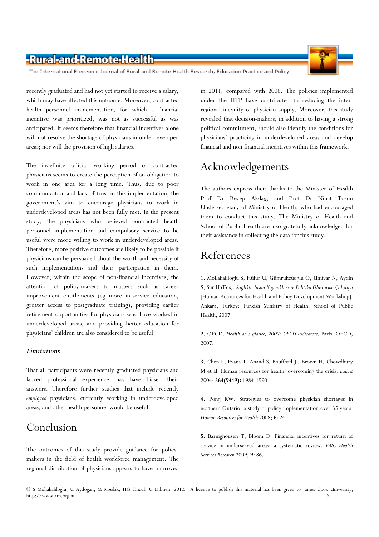The International Electronic Journal of Rural and Remote Health Research, Education Practice and Policy

recently graduated and had not yet started to receive a salary, which may have affected this outcome. Moreover, contracted health personnel implementation, for which a financial incentive was prioritized, was not as successful as was anticipated. It seems therefore that financial incentives alone will not resolve the shortage of physicians in underdeveloped areas; nor will the provision of high salaries.

The indefinite official working period of contracted physicians seems to create the perception of an obligation to work in one area for a long time. Thus, due to poor communication and lack of trust in this implementation, the government's aim to encourage physicians to work in underdeveloped areas has not been fully met. In the present study, the physicians who believed contracted health personnel implementation and compulsory service to be useful were more willing to work in underdeveloped areas. Therefore, more positive outcomes are likely to be possible if physicians can be persuaded about the worth and necessity of such implementations and their participation in them. However, within the scope of non-financial incentives, the attention of policy-makers to matters such as career improvement entitlements (eg more in-service education, greater access to postgraduate training), providing earlier retirement opportunities for physicians who have worked in underdeveloped areas, and providing better education for physicians' children are also considered to be useful.

#### **Limitations**

That all participants were recently graduated physicians and lacked professional experience may have biased their answers. Therefore further studies that include recently employed physicians, currently working in underdeveloped areas, and other health personnel would be useful.

# Conclusion

The outcomes of this study provide guidance for policymakers in the field of health workforce management. The regional distribution of physicians appears to have improved in 2011, compared with 2006. The policies implemented under the HTP have contributed to reducing the interregional inequity of physician supply. Moreover, this study revealed that decision-makers, in addition to having a strong political commitment, should also identify the conditions for physicians' practicing in underdeveloped areas and develop financial and non-financial incentives within this framework.

# Acknowledgements

The authors express their thanks to the Minister of Health Prof Dr Recep Akdag, and Prof Dr Nihat Tosun Undersecretary of Ministry of Health, who had encouraged them to conduct this study. The Ministry of Health and School of Public Health are also gratefully acknowledged for their assistance in collecting the data for this study.

# References

1. Mollahaliloglu S, Hülür U, Gümrükçüoglu O, Ünüvar N, Aydin S, Sur H (Eds). Saglikta Insan Kaynaklari ve Politika Olusturma Çalistayi [Human Resources for Health and Policy Development Workshop]. Ankara, Turkey: Turkish Ministry of Health, School of Public Health, 2007.

2. OECD. Health at a glance, 2007: OECD Indicators. Paris: OECD, 2007.

3. Chen L, Evans T, Anand S, Boufford JI, Brown H, Chowdhury M et al. Human resources for health: overcoming the crisis. Lancet 2004; 364(9449): 1984-1990.

4. Pong RW. Strategies to overcome physician shortages in northern Ontario: a study of policy implementation over 35 years. Human Resources for Health 2008; 6: 24.

5. Barnighousen T, Bloom D. Financial incentives for return of service in underserved areas: a systematic review. BMC Health Services Research 2009; 9: 86.

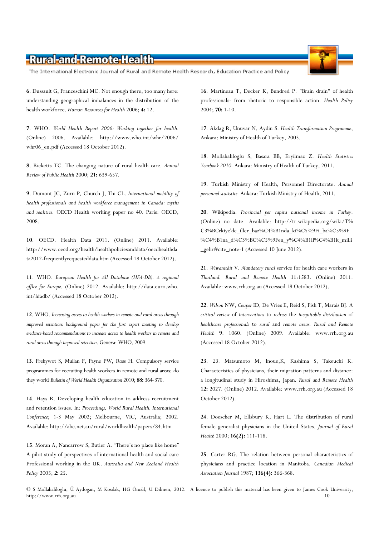The International Electronic Journal of Rural and Remote Health Research, Education Practice and Policy

6. Dussault G, Franceschini MC. Not enough there, too many here: understanding geographical imbalances in the distribution of the health workforce. Human Resources for Health 2006; 4: 12.

7. WHO. World Health Report 2006: Working together for health. (Online) 2006. Available: http://www.who.int/whr/2006/ whr06\_en.pdf (Accessed 18 October 2012).

8. Ricketts TC. The changing nature of rural health care. Annual Review of Public Health 2000; 21: 639-657.

9. Dumont JC, Zurn P, Church J, Thi CL. International mobility of health professionals and health workforce management in Canada: myths and realities. OECD Health working paper no 40. Paris: OECD, 2008.

10. OECD. Health Data 2011. (Online) 2011. Available: http://www.oecd.org/health/healthpoliciesanddata/oecdhealthda ta2012-frequentlyrequesteddata.htm (Accessed 18 October 2012).

11. WHO. European Health for All Database (HFA-DB). A regional office for Europe. (Online) 2012. Available: http://data.euro.who. int/hfadb/ (Accessed 18 October 2012).

12. WHO. Increasing access to health workers in remote and rural areas through improved retention: background paper for the first expert meeting to develop evidence-based recommendations to increase access to health workers in remote and rural areas through improved retention. Geneva: WHO, 2009.

13. Frehywot S, Mullan F, Payne PW, Ross H. Compulsory service programmes for recruiting health workers in remote and rural areas: do they work? Bulletin of World Health Organization 2010; 88: 364-370.

14. Hays R. Developing health education to address recruitment and retention issues. In: Proceedings, World Rural Health, International Conference; 1-3 May 2002; Melbourne, VIC, Australia; 2002. Available: http://abc.net.au/rural/worldhealth/papers/84.htm

15. Moran A, Nancarrow S, Butler A. "There's no place like home" A pilot study of perspectives of international health and social care Professional working in the UK. Australia and New Zealand Health Policy 2005; 2: 25.

16. Martineau T, Decker K, Bundred P. "Brain drain" of health professionals: from rhetoric to responsible action. Health Policy 2004; 70: 1-10.

17. Akdag R, Unuvar N, Aydin S. Health Transformation Programme, Ankara: Ministry of Health of Turkey, 2003.

18. Mollahaliloglu S, Basara BB, Eryilmaz Z. Health Statistics Yearbook 2010. Ankara: Ministry of Health of Turkey, 2011.

19. Turkish Ministry of Health, Personnel Directorate. Annual personnel statistics. Ankara: Turkish Ministry of Health, 2011.

20. Wikipedia. Provincial per capita national income in Turkey. (Online) no date. Available: http://tr.wikipedia.org/wiki/T% C3%BCrkiye'de\_iller\_baz%C4%B1nda\_ki%C5%9Fi\_ba%C5%9F %C4%B1na\_d%C3%BC%C5%9Fen\_y%C4%B1ll%C4%B1k\_milli \_gelir#cite\_note-1 (Accessed 10 June 2012).

21. Wiwanitkit V. Mandatory rural service for health care workers in Thailand. Rural and Remote Health 11:1583. (Online) 2011. Available: www.rrh.org.au (Accessed 18 October 2012).

22. Wilson NW, Couper ID, De Vries E, Reid S, Fish T, Marais BJ. A critical review of interventions to redress the inequitable distribution of healthcare professionals to rural and remote areas. Rural and Remote Health 9: 1060. (Online) 2009. Available: www.rrh.org.au (Accessed 18 October 2012).

23. 23. Matsumoto M, Inoue,K, Kashima S, Takeuchi K. Characteristics of physicians, their migration patterns and distance: a longitudinal study in Hiroshima, Japan. Rural and Remote Health 12: 2027. (Online) 2012. Available: www.rrh.org.au (Accessed 18 October 2012).

24. Doescher M, Ellsbury K, Hart L. The distribution of rural female generalist physicians in the United States. Journal of Rural Health 2000; 16(2): 111-118.

25. Carter RG. The relation between personal characteristics of physicians and practice location in Manitoba. Canadian Medical Association Journal 1987; 136(4): 366-368.